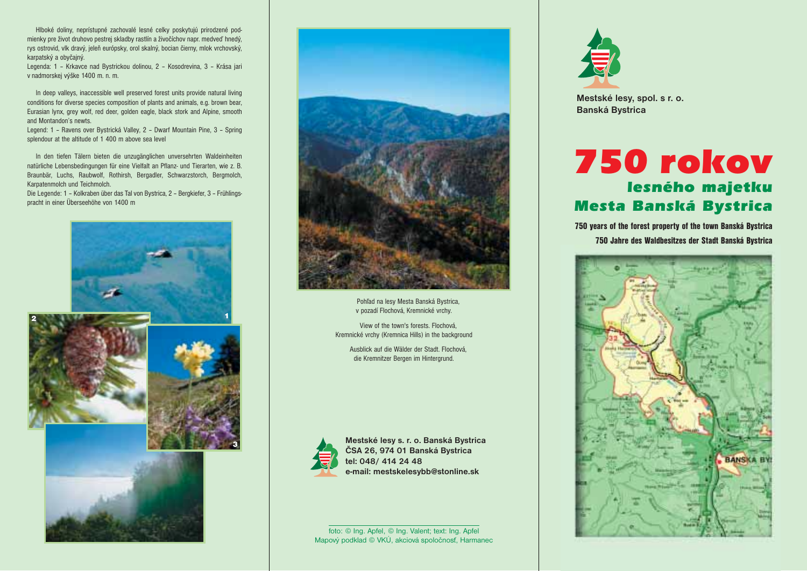Hlboké doliny, neprístupné zachovalé lesné celky poskytujú prirodzené podmienky pre život druhovo pestrej skladby rastlín a živočíchov napr. medveď hnedý, rys ostrovid, vlk dravý, jeleň európsky, orol skalný, bocian čierny, mlok vrchovský, karpatský a obyčajný.

Legenda: 1 – Krkavce nad Bystrickou dolinou, 2 – Kosodrevina, 3 – Krása jari v nadmorskej výške 1400 m. n. m.

In deep valleys, inaccessible well preserved forest units provide natural living conditions for diverse species composition of plants and animals, e.g. brown bear, Eurasian lynx, grey wolf, red deer, golden eagle, black stork and Alpine, smooth and Montandon's newts.

Legend: 1 – Ravens over Bystrická Valley, 2 – Dwarf Mountain Pine, 3 – Spring splendour at the altitude of 1 400 m above sea level

In den tiefen Tälern bieten die unzugänglichen unversehrten Waldeinheiten natürliche Lebensbedingungen für eine Vielfalt an Pflanz- und Tierarten, wie z. B. Braunbär, Luchs, Raubwolf, Rothirsh, Bergadler, Schwarzstorch, Bergmolch, Karpatenmolch und Teichmolch.

Die Legende: 1 – Kolkraben über das Tal von Bystrica, 2 – Bergkiefer, 3 – Frühlingspracht in einer Überseehöhe von 1400 m





Pohľad na lesy Mesta Banská Bystrica, v pozadí Flochová, Kremnické vrchy.

View of the town's forests. Flochová, Kremnické vrchy (Kremnica Hills) in the background

> Ausblick auf die Wälder der Stadt. Flochová, die Kremnitzer Bergen im Hintergrund.



**Mestské lesy s. r. o. Banská Bystrica ČSA 26, 974 01 Banská Bystrica tel: 048/ 414 24 48 e-mail: mestskelesybb@stonline.sk**

foto: © Ing. Apfel, © Ing. Valent; text: Ing. Apfel Mapový podklad © VKÚ, akciová spoločnosť, Harmanec



**Mestské lesy, spol. s r. o. Banská Bystrica**

## *750 rokov lesného majetku Mesta Banská Bystrica*

750 years of the forest property of the town Banská Bystrica 750 Jahre des Waldbesitzes der Stadt Banská Bystrica